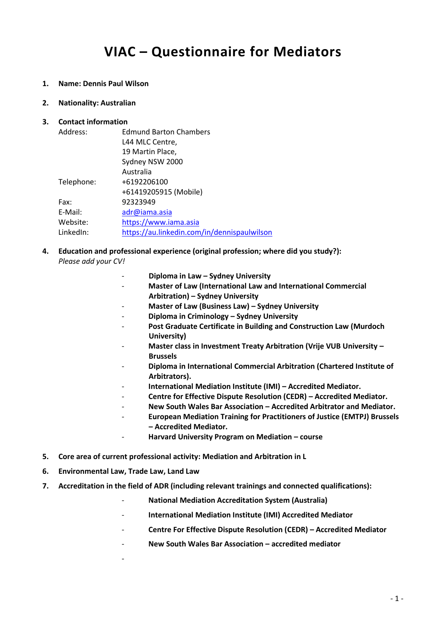# **VIAC – Questionnaire for Mediators**

#### **1. Name: Dennis Paul Wilson**

#### **2. Nationality: Australian**

#### **3. Contact information**

| <b>Edmund Barton Chambers</b>               |
|---------------------------------------------|
| L44 MLC Centre,                             |
| 19 Martin Place,                            |
| Sydney NSW 2000                             |
| Australia                                   |
| +6192206100                                 |
| +61419205915 (Mobile)                       |
| 92323949                                    |
| adr@iama.asia                               |
| https://www.iama.asia                       |
| https://au.linkedin.com/in/dennispaulwilson |
|                                             |

- **4. Education and professional experience (original profession; where did you study?):** *Please add your CV!*
	- **Diploma in Law – Sydney University**
	- **Master of Law (International Law and International Commercial Arbitration) – Sydney University**
	- **Master of Law (Business Law) – Sydney University**
	- **Diploma in Criminology – Sydney University**
	- **Post Graduate Certificate in Building and Construction Law (Murdoch University)**
	- **Master class in Investment Treaty Arbitration (Vrije VUB University – Brussels**
	- **Diploma in International Commercial Arbitration (Chartered Institute of Arbitrators).**
	- **International Mediation Institute (IMI) – Accredited Mediator.**
	- **Centre for Effective Dispute Resolution (CEDR) – Accredited Mediator.**
	- **New South Wales Bar Association – Accredited Arbitrator and Mediator.**
	- **European Mediation Training for Practitioners of Justice (EMTPJ) Brussels** 
		- **– Accredited Mediator.**
	- **Harvard University Program on Mediation – course**
- **5. Core area of current professional activity: Mediation and Arbitration in L**
- **6. Environmental Law, Trade Law, Land Law**

-

- **7. Accreditation in the field of ADR (including relevant trainings and connected qualifications):**
	- **National Mediation Accreditation System (Australia)**
	- **International Mediation Institute (IMI) Accredited Mediator**
	- **Centre For Effective Dispute Resolution (CEDR) – Accredited Mediator**
	- **New South Wales Bar Association – accredited mediator**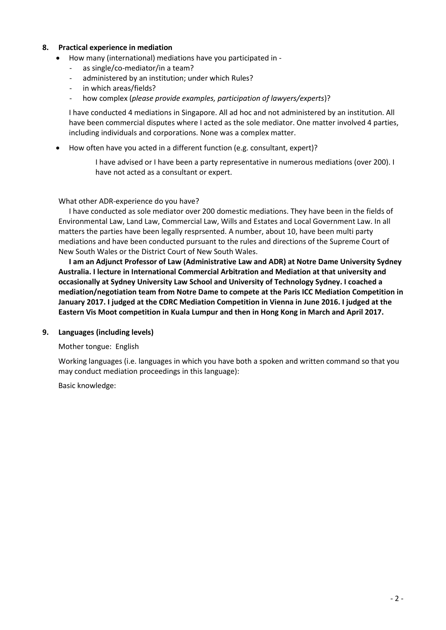#### **8. Practical experience in mediation**

- How many (international) mediations have you participated in
	- as single/co-mediator/in a team?
	- administered by an institution; under which Rules?
	- in which areas/fields?
	- how complex (*please provide examples, participation of lawyers/experts*)?

I have conducted 4 mediations in Singapore. All ad hoc and not administered by an institution. All have been commercial disputes where I acted as the sole mediator. One matter involved 4 parties, including individuals and corporations. None was a complex matter.

How often have you acted in a different function (e.g. consultant, expert)?

I have advised or I have been a party representative in numerous mediations (over 200). I have not acted as a consultant or expert.

#### What other ADR-experience do you have?

I have conducted as sole mediator over 200 domestic mediations. They have been in the fields of Environmental Law, Land Law, Commercial Law, Wills and Estates and Local Government Law. In all matters the parties have been legally resprsented. A number, about 10, have been multi party mediations and have been conducted pursuant to the rules and directions of the Supreme Court of New South Wales or the District Court of New South Wales.

**I am an Adjunct Professor of Law (Administrative Law and ADR) at Notre Dame University Sydney Australia. I lecture in International Commercial Arbitration and Mediation at that university and occasionally at Sydney University Law School and University of Technology Sydney. I coached a mediation/negotiation team from Notre Dame to compete at the Paris ICC Mediation Competition in January 2017. I judged at the CDRC Mediation Competition in Vienna in June 2016. I judged at the Eastern Vis Moot competition in Kuala Lumpur and then in Hong Kong in March and April 2017.**

#### **9. Languages (including levels)**

Mother tongue: English

Working languages (i.e. languages in which you have both a spoken and written command so that you may conduct mediation proceedings in this language):

Basic knowledge: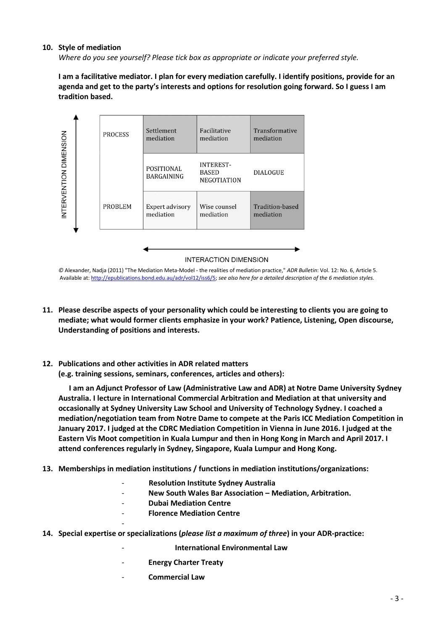#### **10. Style of mediation**

*Where do you see yourself? Please tick box as appropriate or indicate your preferred style.*

**I am a facilitative mediator. I plan for every mediation carefully. I identify positions, provide for an agenda and get to the party's interests and options for resolution going forward. So I guess I am tradition based.**



*©* Alexander, Nadja (2011) "The Mediation Meta-Model - the realities of mediation practice," *ADR Bulletin*: Vol. 12: No. 6, Article 5. Available at[: http://epublications.bond.edu.au/adr/vol12/iss6/5;](http://epublications.bond.edu.au/adr/vol12/iss6/5) *see also here for a detailed description of the 6 mediation styles.*

- **11. Please describe aspects of your personality which could be interesting to clients you are going to mediate; what would former clients emphasize in your work? Patience, Listening, Open discourse, Understanding of positions and interests.**
- **12. Publications and other activities in ADR related matters (e.g. training sessions, seminars, conferences, articles and others):**

**I am an Adjunct Professor of Law (Administrative Law and ADR) at Notre Dame University Sydney Australia. I lecture in International Commercial Arbitration and Mediation at that university and occasionally at Sydney University Law School and University of Technology Sydney. I coached a mediation/negotiation team from Notre Dame to compete at the Paris ICC Mediation Competition in January 2017. I judged at the CDRC Mediation Competition in Vienna in June 2016. I judged at the Eastern Vis Moot competition in Kuala Lumpur and then in Hong Kong in March and April 2017. I attend conferences regularly in Sydney, Singapore, Kuala Lumpur and Hong Kong.**

- **13. Memberships in mediation institutions / functions in mediation institutions/organizations:**
	- **Resolution Institute Sydney Australia**
	- **New South Wales Bar Association – Mediation, Arbitration.**
	- **Dubai Mediation Centre**
	- **Florence Mediation Centre**
- **14. Special expertise or specializations (***please list a maximum of three***) in your ADR-practice:**
	- **International Environmental Law**
	- **Energy Charter Treaty**
	- **Commercial Law**

-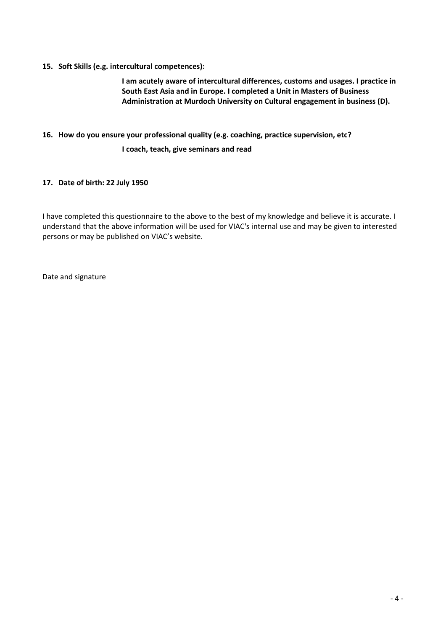**15. Soft Skills (e.g. intercultural competences):**

**I am acutely aware of intercultural differences, customs and usages. I practice in South East Asia and in Europe. I completed a Unit in Masters of Business Administration at Murdoch University on Cultural engagement in business (D).**

**16. How do you ensure your professional quality (e.g. coaching, practice supervision, etc?**

**I coach, teach, give seminars and read**

#### **17. Date of birth: 22 July 1950**

I have completed this questionnaire to the above to the best of my knowledge and believe it is accurate. I understand that the above information will be used for VIAC's internal use and may be given to interested persons or may be published on VIAC's website.

Date and signature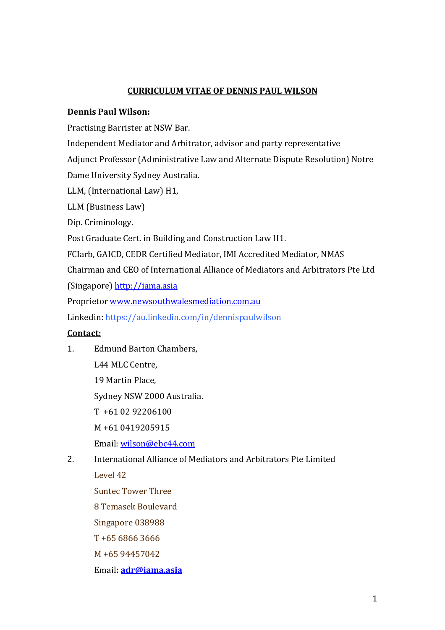#### **CURRICULUM VITAE OF DENNIS PAUL WILSON**

#### **Dennis Paul Wilson:**

Practising Barrister at NSW Bar.

Independent Mediator and Arbitrator, advisor and party representative

Adjunct Professor (Administrative Law and Alternate Dispute Resolution) Notre

Dame University Sydney Australia.

LLM, (International Law) H1,

LLM (Business Law)

Dip. Criminology.

Post Graduate Cert. in Building and Construction Law H1.

FCIarb, GAICD, CEDR Certified Mediator, IMI Accredited Mediator, NMAS

Chairman and CEO of International Alliance of Mediators and Arbitrators Pte Ltd

(Singapore) [http://iama.asia](http://iama.asia/)

Proprietor [www.newsouthwalesmediation.com.au](http://www.newsouthwalesmediation.com.au/)

Linkedin: https://au.linkedin.com/in/dennispaulwilson

#### **Contact:**

- 1. Edmund Barton Chambers, L44 MLC Centre, 19 Martin Place, Sydney NSW 2000 Australia. T +61 02 92206100 M +61 0419205915 Email: [wilson@ebc44.com](mailto:wilson@ebc44.com)
- 2. International Alliance of Mediators and Arbitrators Pte Limited

Level 42 Suntec Tower Three 8 Temasek Boulevard Singapore 038988 T +65 6866 3666 M +65 94457042 Email**: [adr@iama.asia](mailto:adr@iama.asia)**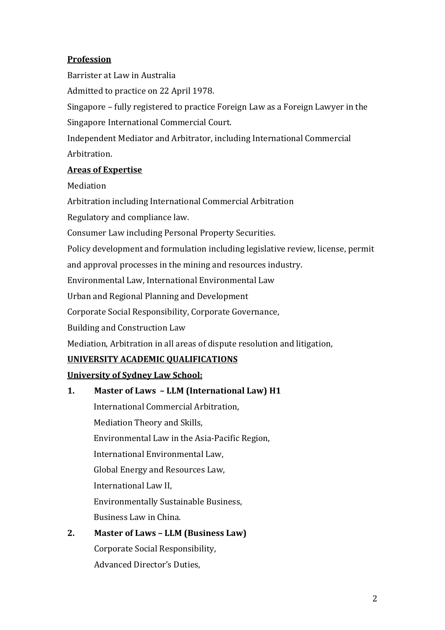### **Profession**

Barrister at Law in Australia

Admitted to practice on 22 April 1978.

Singapore – fully registered to practice Foreign Law as a Foreign Lawyer in the

Singapore International Commercial Court.

Independent Mediator and Arbitrator, including International Commercial Arbitration.

#### **Areas of Expertise**

Mediation

Arbitration including International Commercial Arbitration

Regulatory and compliance law.

Consumer Law including Personal Property Securities.

Policy development and formulation including legislative review, license, permit

and approval processes in the mining and resources industry.

Environmental Law, International Environmental Law

Urban and Regional Planning and Development

Corporate Social Responsibility, Corporate Governance,

Building and Construction Law

Mediation, Arbitration in all areas of dispute resolution and litigation,

#### **UNIVERSITY ACADEMIC QUALIFICATIONS**

#### **University of Sydney Law School:**

| 1. | Master of Laws - LLM (International Law) H1   |
|----|-----------------------------------------------|
|    | International Commercial Arbitration,         |
|    | Mediation Theory and Skills,                  |
|    | Environmental Law in the Asia-Pacific Region, |
|    | International Environmental Law,              |
|    | Global Energy and Resources Law,              |
|    | International Law II,                         |
|    | Environmentally Sustainable Business,         |
|    | Business Law in China.                        |
|    |                                               |

**2. Master of Laws – LLM (Business Law)** Corporate Social Responsibility, Advanced Director's Duties,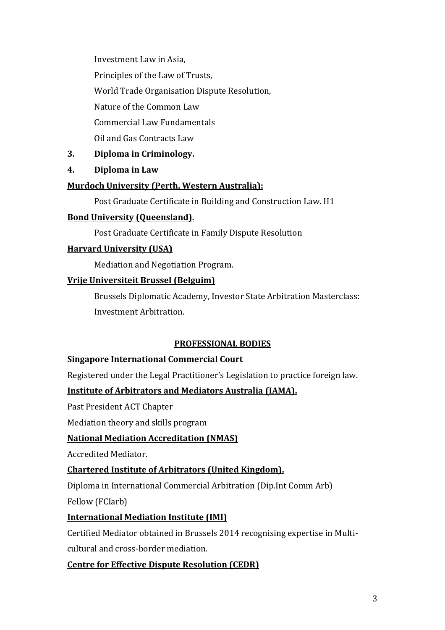Investment Law in Asia,

Principles of the Law of Trusts,

World Trade Organisation Dispute Resolution,

Nature of the Common Law

Commercial Law Fundamentals

Oil and Gas Contracts Law

# **3. Diploma in Criminology.**

**4. Diploma in Law**

# **Murdoch University (Perth, Western Australia):**

Post Graduate Certificate in Building and Construction Law. H1

# **Bond University (Queensland).**

Post Graduate Certificate in Family Dispute Resolution

# **Harvard University (USA)**

Mediation and Negotiation Program.

# **Vrije Universiteit Brussel (Belguim)**

Brussels Diplomatic Academy, Investor State Arbitration Masterclass: Investment Arbitration.

# **PROFESSIONAL BODIES**

# **Singapore International Commercial Court**

Registered under the Legal Practitioner's Legislation to practice foreign law.

# **Institute of Arbitrators and Mediators Australia (IAMA).**

Past President ACT Chapter

Mediation theory and skills program

# **National Mediation Accreditation (NMAS)**

Accredited Mediator.

# **Chartered Institute of Arbitrators (United Kingdom).**

Diploma in International Commercial Arbitration (Dip.Int Comm Arb)

Fellow (FCIarb)

# **International Mediation Institute (IMI)**

Certified Mediator obtained in Brussels 2014 recognising expertise in Multicultural and cross-border mediation.

# **Centre for Effective Dispute Resolution (CEDR)**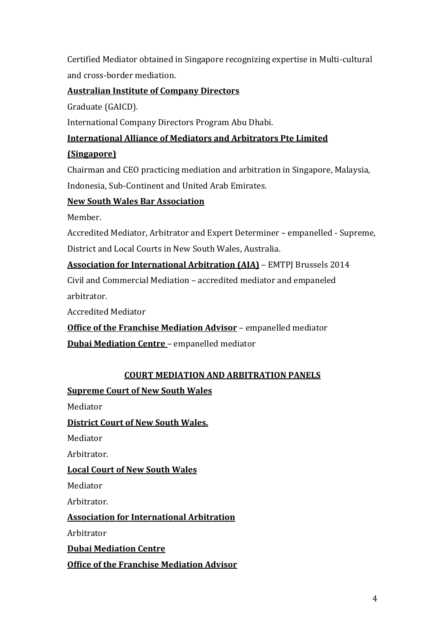Certified Mediator obtained in Singapore recognizing expertise in Multi-cultural and cross-border mediation.

### **Australian Institute of Company Directors**

Graduate (GAICD).

International Company Directors Program Abu Dhabi.

### **International Alliance of Mediators and Arbitrators Pte Limited**

### **(Singapore)**

Chairman and CEO practicing mediation and arbitration in Singapore, Malaysia, Indonesia, Sub-Continent and United Arab Emirates.

### **New South Wales Bar Association**

Member.

Accredited Mediator, Arbitrator and Expert Determiner – empanelled - Supreme, District and Local Courts in New South Wales, Australia.

# **Association for International Arbitration (AIA)** – EMTPJ Brussels 2014

Civil and Commercial Mediation – accredited mediator and empaneled arbitrator.

Accredited Mediator

**Office of the Franchise Mediation Advisor** – empanelled mediator **Dubai Mediation Centre** – empanelled mediator

### **COURT MEDIATION AND ARBITRATION PANELS**

### **Supreme Court of New South Wales**

Mediator

**District Court of New South Wales.**

Mediator

Arbitrator.

#### **Local Court of New South Wales**

Mediator

Arbitrator.

**Association for International Arbitration**

Arbitrator

**Dubai Mediation Centre**

**Office of the Franchise Mediation Advisor**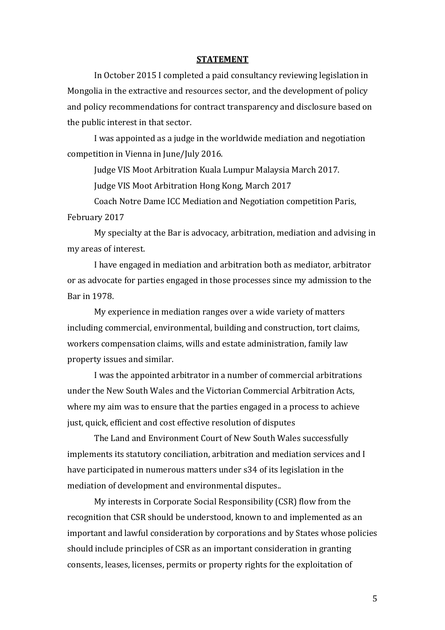#### **STATEMENT**

In October 2015 I completed a paid consultancy reviewing legislation in Mongolia in the extractive and resources sector, and the development of policy and policy recommendations for contract transparency and disclosure based on the public interest in that sector.

I was appointed as a judge in the worldwide mediation and negotiation competition in Vienna in June/July 2016.

Judge VIS Moot Arbitration Kuala Lumpur Malaysia March 2017.

Judge VIS Moot Arbitration Hong Kong, March 2017

Coach Notre Dame ICC Mediation and Negotiation competition Paris, February 2017

My specialty at the Bar is advocacy, arbitration, mediation and advising in my areas of interest.

I have engaged in mediation and arbitration both as mediator, arbitrator or as advocate for parties engaged in those processes since my admission to the Bar in 1978.

My experience in mediation ranges over a wide variety of matters including commercial, environmental, building and construction, tort claims, workers compensation claims, wills and estate administration, family law property issues and similar.

I was the appointed arbitrator in a number of commercial arbitrations under the New South Wales and the Victorian Commercial Arbitration Acts, where my aim was to ensure that the parties engaged in a process to achieve just, quick, efficient and cost effective resolution of disputes

The Land and Environment Court of New South Wales successfully implements its statutory conciliation, arbitration and mediation services and I have participated in numerous matters under s34 of its legislation in the mediation of development and environmental disputes..

My interests in Corporate Social Responsibility (CSR) flow from the recognition that CSR should be understood, known to and implemented as an important and lawful consideration by corporations and by States whose policies should include principles of CSR as an important consideration in granting consents, leases, licenses, permits or property rights for the exploitation of

5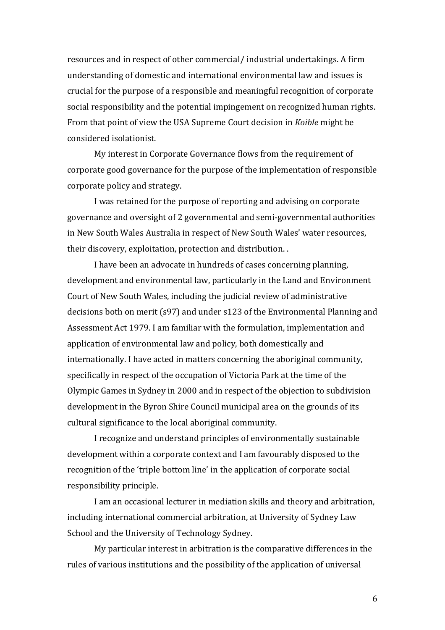resources and in respect of other commercial/ industrial undertakings. A firm understanding of domestic and international environmental law and issues is crucial for the purpose of a responsible and meaningful recognition of corporate social responsibility and the potential impingement on recognized human rights. From that point of view the USA Supreme Court decision in *Koible* might be considered isolationist.

My interest in Corporate Governance flows from the requirement of corporate good governance for the purpose of the implementation of responsible corporate policy and strategy.

I was retained for the purpose of reporting and advising on corporate governance and oversight of 2 governmental and semi-governmental authorities in New South Wales Australia in respect of New South Wales' water resources, their discovery, exploitation, protection and distribution. .

I have been an advocate in hundreds of cases concerning planning, development and environmental law, particularly in the Land and Environment Court of New South Wales, including the judicial review of administrative decisions both on merit (s97) and under s123 of the Environmental Planning and Assessment Act 1979. I am familiar with the formulation, implementation and application of environmental law and policy, both domestically and internationally. I have acted in matters concerning the aboriginal community, specifically in respect of the occupation of Victoria Park at the time of the Olympic Games in Sydney in 2000 and in respect of the objection to subdivision development in the Byron Shire Council municipal area on the grounds of its cultural significance to the local aboriginal community.

I recognize and understand principles of environmentally sustainable development within a corporate context and I am favourably disposed to the recognition of the 'triple bottom line' in the application of corporate social responsibility principle.

I am an occasional lecturer in mediation skills and theory and arbitration, including international commercial arbitration, at University of Sydney Law School and the University of Technology Sydney.

My particular interest in arbitration is the comparative differences in the rules of various institutions and the possibility of the application of universal